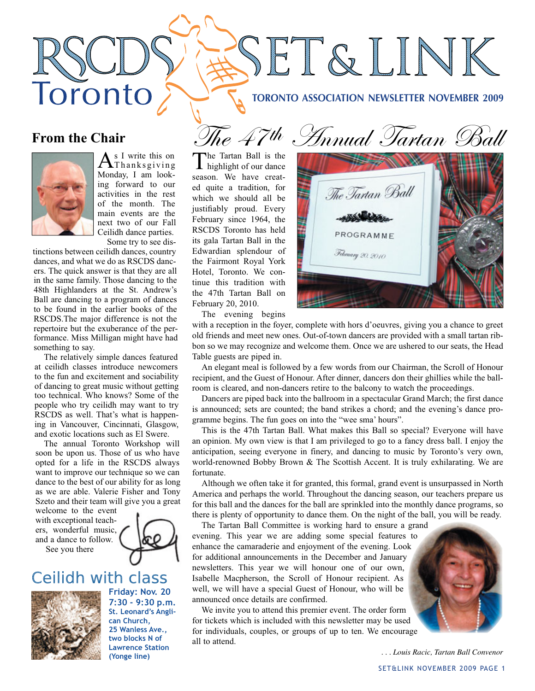#### **TORONTO ASSOCIATION NEWSLETTER NOVEMBER 2009**

SET&LINK

# **From the Chair**

Toronto



 $A$ <sup>s I write this on Thanksgiving</sup> Monday, I am looking forward to our activities in the rest of the month. The main events are the next two of our Fall Ceilidh dance parties. Some try to see dis-

tinctions between ceilidh dances, country dances, and what we do as RSCDS dancers. The quick answer is that they are all in the same family. Those dancing to the 48th Highlanders at the St. Andrew's Ball are dancing to a program of dances to be found in the earlier books of the RSCDS.The major difference is not the repertoire but the exuberance of the performance. Miss Milligan might have had something to say.

The relatively simple dances featured at ceilidh classes introduce newcomers to the fun and excitement and sociability of dancing to great music without getting too technical. Who knows? Some of the people who try ceilidh may want to try RSCDS as well. That's what is happening in Vancouver, Cincinnati, Glasgow, and exotic locations such as El Swere.

The annual Toronto Workshop will soon be upon us. Those of us who have opted for a life in the RSCDS always want to improve our technique so we can dance to the best of our ability for as long as we are able. Valerie Fisher and Tony Szeto and their team will give you a great

welcome to the event with exceptional teachers, wonderful music, and a dance to follow. See you there



# Ceilidh with class



**Friday: Nov. 20 7:30 - 9:30 p.m. St. Leonard's Anglican Church, 25 Wanless Ave., two blocks N of Lawrence Station (Yonge line)**

The Tartan Ball is the highlight of our dance season. We have created quite a tradition, for which we should all be justifiably proud. Every February since 1964, the RSCDS Toronto has held its gala Tartan Ball in the Edwardian splendour of the Fairmont Royal York Hotel, Toronto. We continue this tradition with the 47th Tartan Ball on February 20, 2010.



The evening begins

with a reception in the foyer, complete with hors d'oeuvres, giving you a chance to greet old friends and meet new ones. Out-of-town dancers are provided with a small tartan ribbon so we may recognize and welcome them. Once we are ushered to our seats, the Head Table guests are piped in.

An elegant meal is followed by a few words from our Chairman, the Scroll of Honour recipient, and the Guest of Honour. After dinner, dancers don their ghillies while the ballroom is cleared, and non-dancers retire to the balcony to watch the proceedings.

Dancers are piped back into the ballroom in a spectacular Grand March; the first dance is announced; sets are counted; the band strikes a chord; and the evening's dance programme begins. The fun goes on into the "wee sma' hours".

This is the 47th Tartan Ball. What makes this Ball so special? Everyone will have an opinion. My own view is that I am privileged to go to a fancy dress ball. I enjoy the anticipation, seeing everyone in finery, and dancing to music by Toronto's very own, world-renowned Bobby Brown & The Scottish Accent. It is truly exhilarating. We are fortunate.

Although we often take it for granted, this formal, grand event is unsurpassed in North America and perhaps the world. Throughout the dancing season, our teachers prepare us for this ball and the dances for the ball are sprinkled into the monthly dance programs, so there is plenty of opportunity to dance them. On the night of the ball, you will be ready.

The Tartan Ball Committee is working hard to ensure a grand evening. This year we are adding some special features to enhance the camaraderie and enjoyment of the evening. Look for additional announcements in the December and January newsletters. This year we will honour one of our own, Isabelle Macpherson, the Scroll of Honour recipient. As well, we will have a special Guest of Honour, who will be announced once details are confirmed.

We invite you to attend this premier event. The order form for tickets which is included with this newsletter may be used for individuals, couples, or groups of up to ten. We encourage all to attend.

*. . . Louis Racic, Tartan Ball Convenor*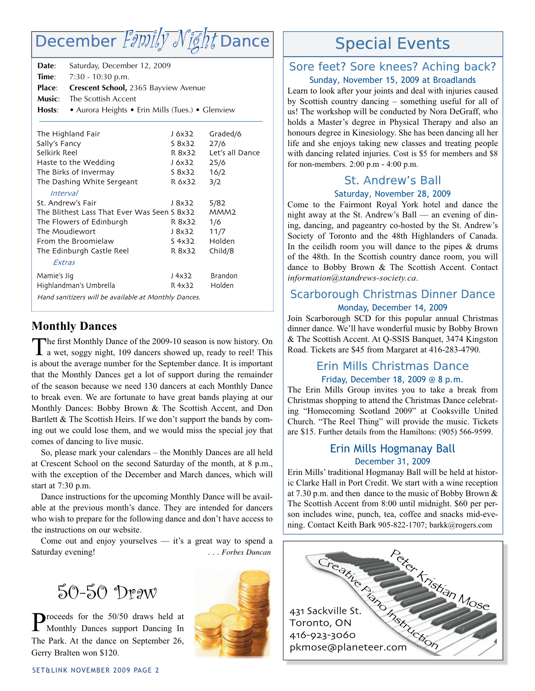# December  $\textit{Fømify-Nifht}$  Dance

| Date:<br>Time:<br>Place:<br>Music:<br>Hosts: | Saturday, December 12, 2009<br>7:30 - 10:30 p.m.<br>Crescent School, 2365 Bayview Avenue<br>The Scottish Accent<br>• Aurora Heights • Erin Mills (Tues.) • Glenview |        |                  |
|----------------------------------------------|---------------------------------------------------------------------------------------------------------------------------------------------------------------------|--------|------------------|
|                                              | The Highland Fair                                                                                                                                                   | J 6x32 | Graded/6         |
| Sally's Fancy                                |                                                                                                                                                                     | S 8x32 | 27/6             |
| Selkirk Reel                                 |                                                                                                                                                                     | R 8x32 | Let's all Dance  |
| Haste to the Wedding                         |                                                                                                                                                                     | J 6x32 | 25/6             |
| The Birks of Invermay                        |                                                                                                                                                                     | S 8x32 | 16/2             |
| The Dashing White Sergeant                   |                                                                                                                                                                     | R 6x32 | 3/2              |
|                                              | <i>Interval</i>                                                                                                                                                     |        |                  |
| St. Andrew's Fair                            |                                                                                                                                                                     | J 8x32 | 5/82             |
|                                              | The Blithest Lass That Ever Was Seen S 8x32                                                                                                                         |        | MMM <sub>2</sub> |
|                                              | The Flowers of Edinburgh                                                                                                                                            | R 8x32 | 1/6              |
| The Moudiewort                               |                                                                                                                                                                     | J 8x32 | 11/7             |
| From the Broomielaw                          |                                                                                                                                                                     | S 4x32 | Holden           |
|                                              | The Edinburgh Castle Reel                                                                                                                                           | R 8x32 | Child/8          |
| <b><i>Extras</i></b>                         |                                                                                                                                                                     |        |                  |
| Mamie's Jig                                  |                                                                                                                                                                     | J 4x32 | <b>Brandon</b>   |
| Highlandman's Umbrella                       |                                                                                                                                                                     | R 4x32 | Holden           |
|                                              | Hand sanitizers will be available at Monthly Dances.                                                                                                                |        |                  |

# **Monthly Dances**

The first Monthly Dance of the 2009-10 season is now history. On a wet, soggy night, 109 dancers showed up, ready to reel! This is about the average number for the September dance. It is important that the Monthly Dances get a lot of support during the remainder of the season because we need 130 dancers at each Monthly Dance to break even. We are fortunate to have great bands playing at our Monthly Dances: Bobby Brown & The Scottish Accent, and Don Bartlett & The Scottish Heirs. If we don't support the bands by coming out we could lose them, and we would miss the special joy that comes of dancing to live music.

So, please mark your calendars – the Monthly Dances are all held at Crescent School on the second Saturday of the month, at 8 p.m., with the exception of the December and March dances, which will start at 7:30 p.m.

Dance instructions for the upcoming Monthly Dance will be available at the previous month's dance. They are intended for dancers who wish to prepare for the following dance and don't have access to the instructions on our website.

Come out and enjoy yourselves — it's a great way to spend a Saturday evening! **and Saturday evening!** . . . *Forbes Duncan* 

# 50-50 Draw

Proceeds for the 50/50 draws held at Monthly Dances support Dancing In The Park. At the dance on September 26, Gerry Bralten won \$120.



# Special Events

### Sore feet? Sore knees? Aching back? Sunday, November 15, 2009 at Broadlands

Learn to look after your joints and deal with injuries caused by Scottish country dancing – something useful for all of us! The workshop will be conducted by Nora DeGraff, who holds a Master's degree in Physical Therapy and also an honours degree in Kinesiology. She has been dancing all her life and she enjoys taking new classes and treating people with dancing related injuries. Cost is \$5 for members and \$8 for non-members. 2:00 p.m - 4:00 p.m.

# St. Andrew's Ball

### Saturday, November 28, 2009

Come to the Fairmont Royal York hotel and dance the night away at the St. Andrew's Ball — an evening of dining, dancing, and pageantry co-hosted by the St. Andrew's Society of Toronto and the 48th Highlanders of Canada. In the ceilidh room you will dance to the pipes & drums of the 48th. In the Scottish country dance room, you will dance to Bobby Brown & The Scottish Accent. Contact *information@standrews-society.ca*.

## Scarborough Christmas Dinner Dance Monday, December 14, 2009

Join Scarborough SCD for this popular annual Christmas dinner dance. We'll have wonderful music by Bobby Brown & The Scottish Accent. At Q-SSIS Banquet, 3474 Kingston Road. Tickets are \$45 from Margaret at 416-283-4790.

### Erin Mills Christmas Dance Friday, December 18, 2009 @ 8 p.m.

The Erin Mills Group invites you to take a break from Christmas shopping to attend the Christmas Dance celebrating "Homecoming Scotland 2009" at Cooksville United Church. "The Reel Thing" will provide the music. Tickets are \$15. Further details from the Hamiltons: (905) 566-9599.

## Erin Mills Hogmanay Ball December 31, 2009

Erin Mills' traditional Hogmanay Ball will be held at historic Clarke Hall in Port Credit. We start with a wine reception at 7.30 p.m. and then dance to the music of Bobby Brown & The Scottish Accent from 8:00 until midnight. \$60 per person includes wine, punch, tea, coffee and snacks mid-evening. Contact Keith Bark 905-822-1707; barkk@rogers.com

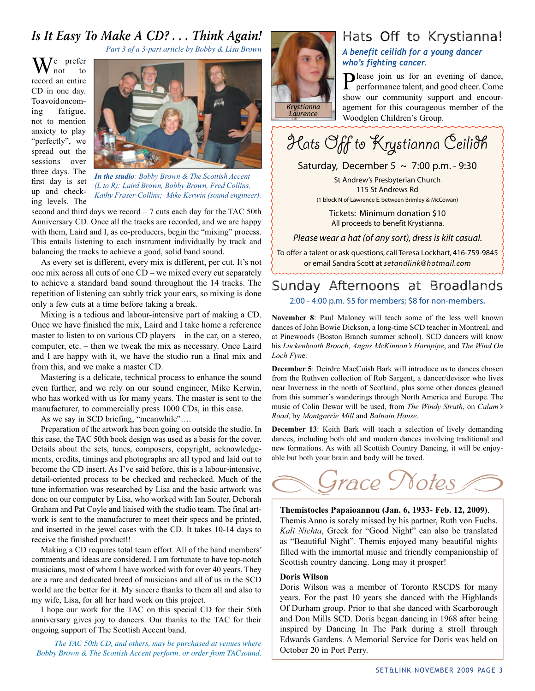# *Is It Easy To Make A CD? . . . Think Again!*

*Part 3 of a 3-part article by Bobby & Lisa Brown*

 $\int_{\text{not}}^{\text{e}} \frac{\text{prefer}}{\text{to}}$ not record an entire CD in one day. To avoid oncoming fatigue, not to mention anxiety to play "perfectly", we spread out the sessions over three days. The first day is set up and checking levels. The



*In the studio: Bobby Brown & The Scottish Accent (L to R): Laird Brown, Bobby Brown, Fred Collins, Kathy Fraser-Collins; Mike Kerwin (sound engineer).*

second and third days we record  $-7$  cuts each day for the TAC 50th Anniversary CD. Once all the tracks are recorded, and we are happy with them, Laird and I, as co-producers, begin the "mixing" process. This entails listening to each instrument individually by track and balancing the tracks to achieve a good, solid band sound.

As every set is different, every mix is different, per cut. It's not one mix across all cuts of one CD – we mixed every cut separately to achieve a standard band sound throughout the 14 tracks. The repetition of listening can subtly trick your ears, so mixing is done only a few cuts at a time before taking a break.

Mixing is a tedious and labour-intensive part of making a CD. Once we have finished the mix, Laird and I take home a reference master to listen to on various CD players – in the car, on a stereo, computer, etc. – then we tweak the mix as necessary. Once Laird and I are happy with it, we have the studio run a final mix and from this, and we make a master CD.

Mastering is a delicate, technical process to enhance the sound even further, and we rely on our sound engineer, Mike Kerwin, who has worked with us for many years. The master is sent to the manufacturer, to commercially press 1000 CDs, in this case.

As we say in SCD briefing, "meanwhile"….

Preparation of the artwork has been going on outside the studio. In this case, the TAC 50th book design was used as a basis for the cover. Details about the sets, tunes, composers, copyright, acknowledgements, credits, timings and photographs are all typed and laid out to become the CD insert. As I've said before, this is a labour-intensive, detail-oriented process to be checked and rechecked. Much of the tune information was researched by Lisa and the basic artwork was done on our computer by Lisa, who worked with Ian Souter, Deborah Graham and Pat Coyle and liaised with the studio team. The final artwork is sent to the manufacturer to meet their specs and be printed, and inserted in the jewel cases with the CD. It takes 10-14 days to receive the finished product!!

Making a CD requires total team effort. All of the band members' comments and ideas are considered. I am fortunate to have top-notch musicians, most of whom I have worked with for over 40 years. They are a rare and dedicated breed of musicians and all of us in the SCD world are the better for it. My sincere thanks to them all and also to my wife, Lisa, for all her hard work on this project.

I hope our work for the TAC on this special CD for their 50th anniversary gives joy to dancers. Our thanks to the TAC for their ongoing support of The Scottish Accent band.

*The TAC 50th CD, and others, may be purchased at venues where Bobby Brown & The Scottish Accent perform, or order from TACsound.*



# Hats Off to Krystianna!

*A benefit ceilidh for a young dancer who's fighting cancer.*

Please join us for an evening of dance, performance talent, and good cheer. Come show our community support and encouragement for this courageous member of the Woodglen Children's Group.

Hats Off to Krystianna Ceilidh

Saturday, December 5  $\sim$  7:00 p.m. - 9:30

St Andrew's Presbyterian Church 115 St Andrews Rd

(1 block N of Lawrence E. between Brimley & McCowan)

Tickets: Minimum donation \$10 All proceeds to benefit Krystianna.

*Please wear a hat (of any sort), dress is kilt casual.*

To offer a talent or ask questions, call Teresa Lockhart, 416-759-9845 or email Sandra Scott at *setandlink@hotmail.com*

# Sunday Afternoons at Broadlands

2:00 - 4:00 p.m. \$5 for members; \$8 for non-members**.**

**November 8**: Paul Maloney will teach some of the less well known dances of John Bowie Dickson, a long-time SCD teacher in Montreal, and at Pinewoods (Boston Branch summer school). SCD dancers will know his *Luckenbooth Brooch*, *Angus McKinnon's Hornpipe*, and *The Wind On Loch Fyn*e.

**December 5**: Deirdre MacCuish Bark will introduce us to dances chosen from the Ruthven collection of Rob Sargent, a dancer/devisor who lives near Inverness in the north of Scotland, plus some other dances gleaned from this summer's wanderings through North America and Europe. The music of Colin Dewar will be used, from *The Windy Strath*, on *Calum's Road*, by *Montgarrie Mill* and *Balnain House*.

**December 13**: Keith Bark will teach a selection of lively demanding dances, including both old and modern dances involving traditional and new formations. As with all Scottish Country Dancing, it will be enjoyable but both your brain and body will be taxed.



#### **Themistocles Papaioannou (Jan. 6, 1933- Feb. 12, 2009)**.

Themis Anno is sorely missed by his partner, Ruth von Fuchs. *Kali Nichta*, Greek for "Good Night" can also be translated as "Beautiful Night". Themis enjoyed many beautiful nights filled with the immortal music and friendly companionship of Scottish country dancing. Long may it prosper!

#### **Doris Wilson**

Doris Wilson was a member of Toronto RSCDS for many years. For the past 10 years she danced with the Highlands Of Durham group. Prior to that she danced with Scarborough and Don Mills SCD. Doris began dancing in 1968 after being inspired by Dancing In The Park during a stroll through Edwards Gardens. A Memorial Service for Doris was held on October 20 in Port Perry.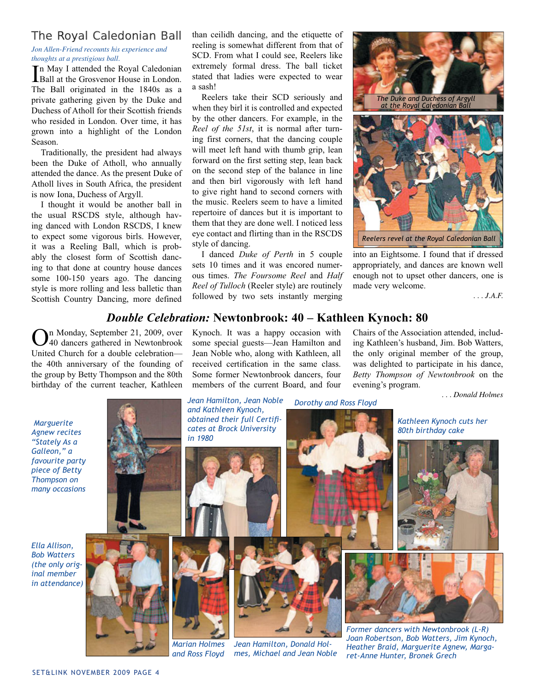### The Royal Caledonian Ball

*Jon Allen-Friend recounts his experience and thoughts at a prestigious ball.*

In May I attended the Royal Caledonian<br>Ball at the Grosvenor House in London. Ball at the Grosvenor House in London. The Ball originated in the 1840s as a private gathering given by the Duke and Duchess of Atholl for their Scottish friends who resided in London. Over time, it has grown into a highlight of the London Season.

Traditionally, the president had always been the Duke of Atholl, who annually attended the dance. As the present Duke of Atholl lives in South Africa, the president is now Iona, Duchess of Argyll.

I thought it would be another ball in the usual RSCDS style, although having danced with London RSCDS, I knew to expect some vigorous birls. However, it was a Reeling Ball, which is probably the closest form of Scottish dancing to that done at country house dances some 100-150 years ago. The dancing style is more rolling and less balletic than Scottish Country Dancing, more defined

than ceilidh dancing, and the etiquette of reeling is somewhat different from that of SCD. From what I could see, Reelers like extremely formal dress. The ball ticket stated that ladies were expected to wear a sash!

Reelers take their SCD seriously and when they birl it is controlled and expected by the other dancers. For example, in the *Reel of the 51st*, it is normal after turning first corners, that the dancing couple will meet left hand with thumb grip, lean forward on the first setting step, lean back on the second step of the balance in line and then birl vigorously with left hand to give right hand to second corners with the music. Reelers seem to have a limited repertoire of dances but it is important to them that they are done well. I noticed less eye contact and flirting than in the RSCDS style of dancing.

I danced *Duke of Perth* in 5 couple sets 10 times and it was encored numerous times. *The Foursome Reel* and *Half Reel of Tulloch* (Reeler style) are routinely followed by two sets instantly merging



into an Eightsome. I found that if dressed appropriately, and dances are known well enough not to upset other dancers, one is made very welcome.

*. . . J.A.F.*

### *Double Celebration:* **Newtonbrook: 40 – Kathleen Kynoch: 80** Kynoch. It was a happy occasion with

some special guests—Jean Hamilton and Jean Noble who, along with Kathleen, all received certification in the same class. Some former Newtonbrook dancers, four members of the current Board, and four

n Monday, September 21, 2009, over 40 dancers gathered in Newtonbrook United Church for a double celebration the 40th anniversary of the founding of the group by Betty Thompson and the 80th birthday of the current teacher, Kathleen

 *Marguerite Agnew recites "Stately As a Galleon," a favourite party piece of Betty Thompson on many occasions*

*Ella Allison, Bob Watters (the only original member in attendance)*



*and Ross Floyd*

*Jean Hamilton, Donald Holmes, Michael and Jean Noble* Chairs of the Association attended, including Kathleen's husband, Jim. Bob Watters, the only original member of the group, was delighted to participate in his dance, *Betty Thompson of Newtonbrook* on the evening's program.

*. . . Donald Holmes*

*Dorothy and Ross Floyd Kathleen Kynoch cuts her 80th birthday cake Jean Hamilton, Jean Noble and Kathleen Kynoch, obtained their full Certifi cates at Brock University in 1980 Former dancers with Newtonbrook (L-R) Joan Robertson, Bob Watters, Jim Kynoch,* 

*Heather Braid, Marguerite Agnew, Margaret-Anne Hunter, Bronek Grech*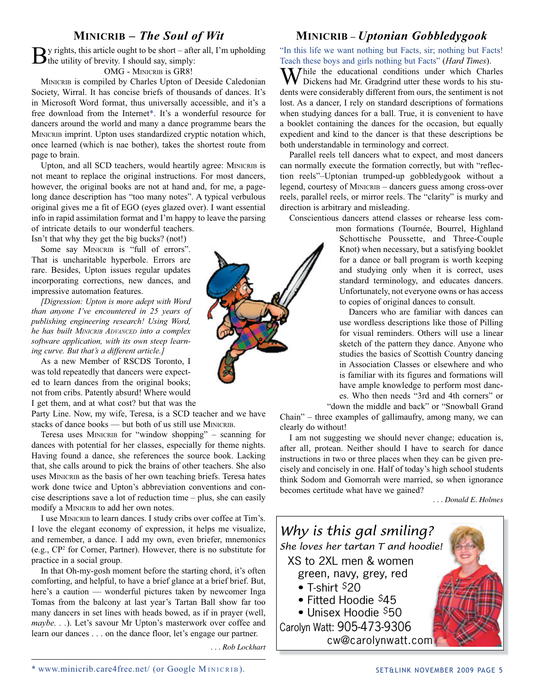### **MINICRIB –** *The Soul of Wit*

 $\mathbf{B}$ y rights, this article ought to be short – after all, I'm upholding the utility of brevity. I should say, simply:

OMG - MINICRIB is GR8!

MINICRIB is compiled by Charles Upton of Deeside Caledonian Society, Wirral. It has concise briefs of thousands of dances. It's in Microsoft Word format, thus universally accessible, and it's a free download from the Internet\*. It's a wonderful resource for dancers around the world and many a dance programme bears the MINICRIB imprint. Upton uses standardized cryptic notation which, once learned (which is nae bother), takes the shortest route from page to brain.

Upton, and all SCD teachers, would heartily agree: MINICRIB is not meant to replace the original instructions. For most dancers, however, the original books are not at hand and, for me, a pagelong dance description has "too many notes". A typical verbulous original gives me a fit of EGO (eyes glazed over). I want essential info in rapid assimilation format and I'm happy to leave the parsing of intricate details to our wonderful teachers.

Isn't that why they get the big bucks? (not!)

Some say MINICRIB is "full of errors". That is uncharitable hyperbole. Errors are rare. Besides, Upton issues regular updates incorporating corrections, new dances, and impressive automation features.

*[Digression: Upton is more adept with Word than anyone I've encountered in 25 years of publishing engineering research! Using Word, he has built MINICRIB ADVANCED into a complex software application, with its own steep learning curve. But that's a different article.]*

As a new Member of RSCDS Toronto, I was told repeatedly that dancers were expected to learn dances from the original books; not from cribs. Patently absurd! Where would I get them, and at what cost? but that was the

Party Line. Now, my wife, Teresa, is a SCD teacher and we have stacks of dance books — but both of us still use MINICRIB.

Teresa uses MINICRIB for "window shopping" – scanning for dances with potential for her classes, especially for theme nights. Having found a dance, she references the source book. Lacking that, she calls around to pick the brains of other teachers. She also uses MINICRIB as the basis of her own teaching briefs. Teresa hates work done twice and Upton's abbreviation conventions and concise descriptions save a lot of reduction time – plus, she can easily modify a MINICRIB to add her own notes.

I use MINICRIB to learn dances. I study cribs over coffee at Tim's. I love the elegant economy of expression, it helps me visualize, and remember, a dance. I add my own, even briefer, mnemonics (e.g., CP2 for Corner, Partner). However, there is no substitute for practice in a social group.

In that Oh-my-gosh moment before the starting chord, it's often comforting, and helpful, to have a brief glance at a brief brief. But, here's a caution — wonderful pictures taken by newcomer Inga Tomas from the balcony at last year's Tartan Ball show far too many dancers in set lines with heads bowed, as if in prayer (well, *maybe. . .*). Let's savour Mr Upton's masterwork over coffee and learn our dances . . . on the dance floor, let's engage our partner.

*. . . Rob Lockhart*

### **MINICRIB –** *Uptonian Gobbledygook*

"In this life we want nothing but Facts, sir; nothing but Facts! Teach these boys and girls nothing but Facts" (*Hard Times*).

My Thile the educational conditions under which Charles Dickens had Mr. Gradgrind utter these words to his students were considerably different from ours, the sentiment is not lost. As a dancer, I rely on standard descriptions of formations when studying dances for a ball. True, it is convenient to have a booklet containing the dances for the occasion, but equally expedient and kind to the dancer is that these descriptions be both understandable in terminology and correct.

Parallel reels tell dancers what to expect, and most dancers can normally execute the formation correctly, but with "reflection reels"–Uptonian trumped-up gobbledygook without a legend, courtesy of MINICRIB – dancers guess among cross-over reels, parallel reels, or mirror reels. The "clarity" is murky and direction is arbitrary and misleading.

Conscientious dancers attend classes or rehearse less com-

mon formations (Tournée, Bourrel, Highland Schottische Poussette, and Three-Couple Knot) when necessary, but a satisfying booklet for a dance or ball program is worth keeping and studying only when it is correct, uses standard terminology, and educates dancers. Unfortunately, not everyone owns or has access to copies of original dances to consult.

Dancers who are familiar with dances can use wordless descriptions like those of Pilling for visual reminders. Others will use a linear sketch of the pattern they dance. Anyone who studies the basics of Scottish Country dancing in Association Classes or elsewhere and who is familiar with its figures and formations will have ample knowledge to perform most dances. Who then needs "3rd and 4th corners" or "down the middle and back" or "Snowball Grand

Chain" – three examples of gallimaufry, among many, we can clearly do without!

I am not suggesting we should never change; education is, after all, protean. Neither should I have to search for dance instructions in two or three places when they can be given precisely and concisely in one. Half of today's high school students think Sodom and Gomorrah were married, so when ignorance becomes certitude what have we gained?

*. . . Donald E. Holmes*